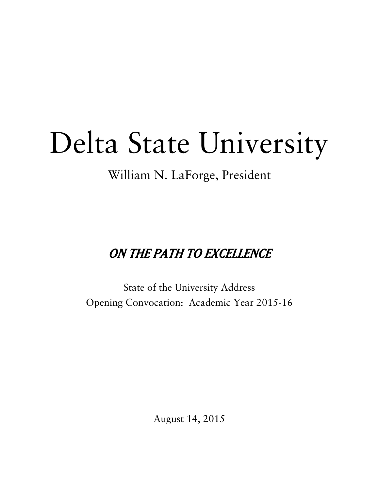# Delta State University

William N. LaForge, President

## ON THE PATH TO EXCELLENCE

State of the University Address Opening Convocation: Academic Year 2015-16

August 14, 2015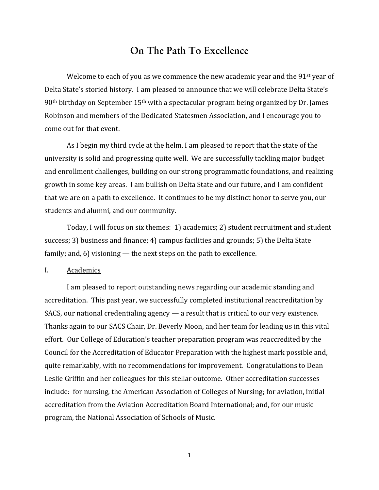### **On The Path To Excellence**

Welcome to each of you as we commence the new academic year and the  $91<sup>st</sup>$  year of Delta State's storied history. I am pleased to announce that we will celebrate Delta State's  $90<sup>th</sup>$  birthday on September  $15<sup>th</sup>$  with a spectacular program being organized by Dr. James Robinson and members of the Dedicated Statesmen Association, and I encourage you to come out for that event.

As I begin my third cycle at the helm, I am pleased to report that the state of the university is solid and progressing quite well. We are successfully tackling major budget and enrollment challenges, building on our strong programmatic foundations, and realizing growth in some key areas. I am bullish on Delta State and our future, and I am confident that we are on a path to excellence. It continues to be my distinct honor to serve you, our students and alumni, and our community.

Today, I will focus on six themes: 1) academics; 2) student recruitment and student success; 3) business and finance; 4) campus facilities and grounds; 5) the Delta State family; and,  $6$ ) visioning — the next steps on the path to excellence.

I. Academics 

I am pleased to report outstanding news regarding our academic standing and accreditation. This past year, we successfully completed institutional reaccreditation by SACS, our national credentialing agency  $-$  a result that is critical to our very existence. Thanks again to our SACS Chair, Dr. Beverly Moon, and her team for leading us in this vital effort. Our College of Education's teacher preparation program was reaccredited by the Council for the Accreditation of Educator Preparation with the highest mark possible and, quite remarkably, with no recommendations for improvement. Congratulations to Dean Leslie Griffin and her colleagues for this stellar outcome. Other accreditation successes include: for nursing, the American Association of Colleges of Nursing; for aviation, initial accreditation from the Aviation Accreditation Board International; and, for our music program, the National Association of Schools of Music.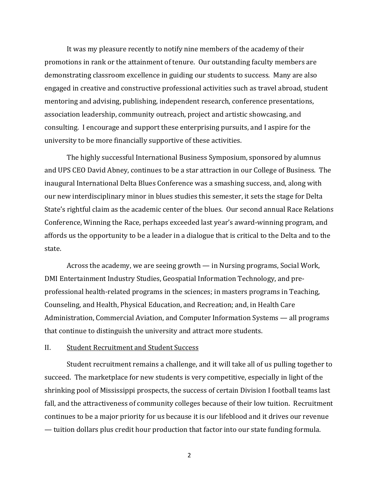It was my pleasure recently to notify nine members of the academy of their promotions in rank or the attainment of tenure. Our outstanding faculty members are demonstrating classroom excellence in guiding our students to success. Many are also engaged in creative and constructive professional activities such as travel abroad, student mentoring and advising, publishing, independent research, conference presentations, association leadership, community outreach, project and artistic showcasing, and consulting. I encourage and support these enterprising pursuits, and I aspire for the university to be more financially supportive of these activities.

The highly successful International Business Symposium, sponsored by alumnus and UPS CEO David Abney, continues to be a star attraction in our College of Business. The inaugural International Delta Blues Conference was a smashing success, and, along with our new interdisciplinary minor in blues studies this semester, it sets the stage for Delta State's rightful claim as the academic center of the blues. Our second annual Race Relations Conference, Winning the Race, perhaps exceeded last year's award-winning program, and affords us the opportunity to be a leader in a dialogue that is critical to the Delta and to the state. 

Across the academy, we are seeing growth  $-$  in Nursing programs, Social Work, DMI Entertainment Industry Studies, Geospatial Information Technology, and preprofessional health-related programs in the sciences; in masters programs in Teaching, Counseling, and Health, Physical Education, and Recreation; and, in Health Care Administration, Commercial Aviation, and Computer Information Systems — all programs that continue to distinguish the university and attract more students.

#### II. Student Recruitment and Student Success

Student recruitment remains a challenge, and it will take all of us pulling together to succeed. The marketplace for new students is very competitive, especially in light of the shrinking pool of Mississippi prospects, the success of certain Division I football teams last fall, and the attractiveness of community colleges because of their low tuition. Recruitment continues to be a major priority for us because it is our lifeblood and it drives our revenue — tuition dollars plus credit hour production that factor into our state funding formula.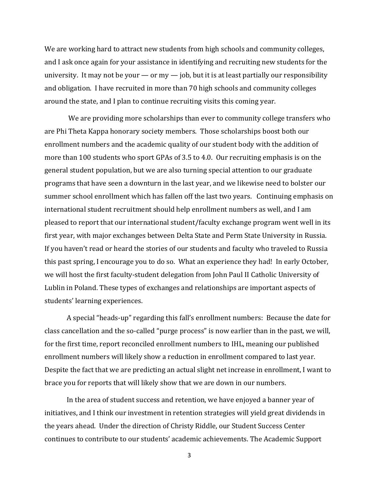We are working hard to attract new students from high schools and community colleges, and I ask once again for your assistance in identifying and recruiting new students for the university. It may not be your  $-$  or my  $-$  job, but it is at least partially our responsibility and obligation. I have recruited in more than 70 high schools and community colleges around the state, and I plan to continue recruiting visits this coming year.

We are providing more scholarships than ever to community college transfers who are Phi Theta Kappa honorary society members. Those scholarships boost both our enrollment numbers and the academic quality of our student body with the addition of more than 100 students who sport GPAs of 3.5 to 4.0. Our recruiting emphasis is on the general student population, but we are also turning special attention to our graduate programs that have seen a downturn in the last year, and we likewise need to bolster our summer school enrollment which has fallen off the last two years. Continuing emphasis on international student recruitment should help enrollment numbers as well, and I am pleased to report that our international student/faculty exchange program went well in its first year, with major exchanges between Delta State and Perm State University in Russia. If you haven't read or heard the stories of our students and faculty who traveled to Russia this past spring, I encourage you to do so. What an experience they had! In early October, we will host the first faculty-student delegation from John Paul II Catholic University of Lublin in Poland. These types of exchanges and relationships are important aspects of students' learning experiences.

A special "heads-up" regarding this fall's enrollment numbers: Because the date for class cancellation and the so-called "purge process" is now earlier than in the past, we will, for the first time, report reconciled enrollment numbers to IHL, meaning our published enrollment numbers will likely show a reduction in enrollment compared to last year. Despite the fact that we are predicting an actual slight net increase in enrollment, I want to brace you for reports that will likely show that we are down in our numbers.

In the area of student success and retention, we have enjoyed a banner year of initiatives, and I think our investment in retention strategies will yield great dividends in the years ahead. Under the direction of Christy Riddle, our Student Success Center continues to contribute to our students' academic achievements. The Academic Support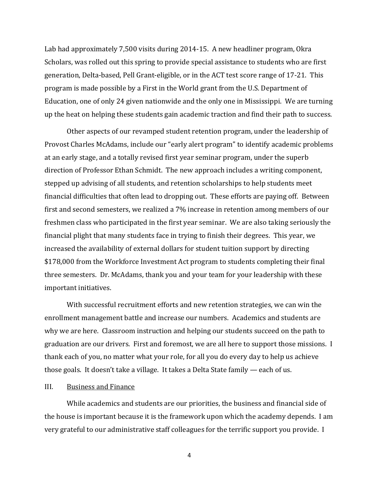Lab had approximately  $7,500$  visits during  $2014-15$ . A new headliner program, Okra Scholars, was rolled out this spring to provide special assistance to students who are first generation, Delta-based, Pell Grant-eligible, or in the ACT test score range of 17-21. This program is made possible by a First in the World grant from the U.S. Department of Education, one of only 24 given nationwide and the only one in Mississippi. We are turning up the heat on helping these students gain academic traction and find their path to success.

Other aspects of our revamped student retention program, under the leadership of Provost Charles McAdams, include our "early alert program" to identify academic problems at an early stage, and a totally revised first year seminar program, under the superb direction of Professor Ethan Schmidt. The new approach includes a writing component, stepped up advising of all students, and retention scholarships to help students meet financial difficulties that often lead to dropping out. These efforts are paying off. Between first and second semesters, we realized a 7% increase in retention among members of our freshmen class who participated in the first year seminar. We are also taking seriously the financial plight that many students face in trying to finish their degrees. This year, we increased the availability of external dollars for student tuition support by directing \$178,000 from the Workforce Investment Act program to students completing their final three semesters. Dr. McAdams, thank you and your team for your leadership with these important initiatives.

With successful recruitment efforts and new retention strategies, we can win the enrollment management battle and increase our numbers. Academics and students are why we are here. Classroom instruction and helping our students succeed on the path to graduation are our drivers. First and foremost, we are all here to support those missions. I thank each of you, no matter what your role, for all you do every day to help us achieve those goals. It doesn't take a village. It takes a Delta State family  $-$  each of us.

#### III. Business and Finance

While academics and students are our priorities, the business and financial side of the house is important because it is the framework upon which the academy depends. I am very grateful to our administrative staff colleagues for the terrific support you provide. I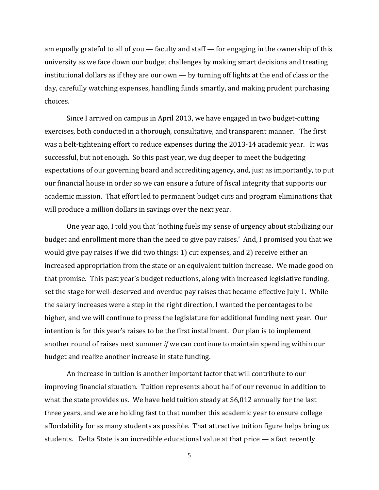am equally grateful to all of you  $-$  faculty and staff  $-$  for engaging in the ownership of this university as we face down our budget challenges by making smart decisions and treating institutional dollars as if they are our own — by turning off lights at the end of class or the day, carefully watching expenses, handling funds smartly, and making prudent purchasing choices. 

Since I arrived on campus in April 2013, we have engaged in two budget-cutting exercises, both conducted in a thorough, consultative, and transparent manner. The first was a belt-tightening effort to reduce expenses during the 2013-14 academic year. It was successful, but not enough. So this past year, we dug deeper to meet the budgeting expectations of our governing board and accrediting agency, and, just as importantly, to put our financial house in order so we can ensure a future of fiscal integrity that supports our academic mission. That effort led to permanent budget cuts and program eliminations that will produce a million dollars in savings over the next year.

One year ago, I told you that 'nothing fuels my sense of urgency about stabilizing our budget and enrollment more than the need to give pay raises.' And, I promised you that we would give pay raises if we did two things: 1) cut expenses, and 2) receive either an increased appropriation from the state or an equivalent tuition increase. We made good on that promise. This past year's budget reductions, along with increased legislative funding, set the stage for well-deserved and overdue pay raises that became effective July 1. While the salary increases were a step in the right direction, I wanted the percentages to be higher, and we will continue to press the legislature for additional funding next year. Our intention is for this year's raises to be the first installment. Our plan is to implement another round of raises next summer *if* we can continue to maintain spending within our budget and realize another increase in state funding.

An increase in tuition is another important factor that will contribute to our improving financial situation. Tuition represents about half of our revenue in addition to what the state provides us. We have held tuition steady at \$6,012 annually for the last three years, and we are holding fast to that number this academic year to ensure college affordability for as many students as possible. That attractive tuition figure helps bring us students. Delta State is an incredible educational value at that price  $-$  a fact recently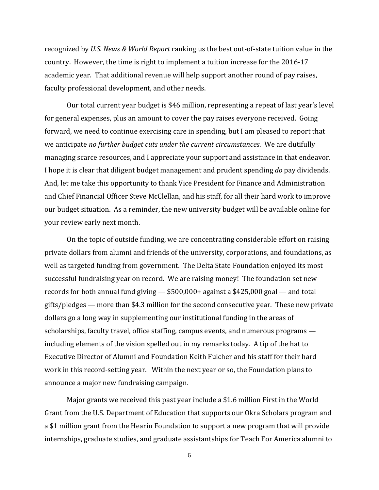recognized by *U.S. News & World Report* ranking us the best out-of-state tuition value in the country. However, the time is right to implement a tuition increase for the 2016-17 academic year. That additional revenue will help support another round of pay raises, faculty professional development, and other needs.

Our total current year budget is \$46 million, representing a repeat of last year's level for general expenses, plus an amount to cover the pay raises everyone received. Going forward, we need to continue exercising care in spending, but I am pleased to report that we anticipate *no further budget cuts under the current circumstances*. We are dutifully managing scarce resources, and I appreciate your support and assistance in that endeavor. I hope it is clear that diligent budget management and prudent spending *do* pay dividends. And, let me take this opportunity to thank Vice President for Finance and Administration and Chief Financial Officer Steve McClellan, and his staff, for all their hard work to improve our budget situation. As a reminder, the new university budget will be available online for your review early next month.

On the topic of outside funding, we are concentrating considerable effort on raising private dollars from alumni and friends of the university, corporations, and foundations, as well as targeted funding from government. The Delta State Foundation enjoyed its most successful fundraising year on record. We are raising money! The foundation set new records for both annual fund giving  $-$  \$500,000+ against a \$425,000 goal  $-$  and total gifts/pledges — more than \$4.3 million for the second consecutive year. These new private dollars go a long way in supplementing our institutional funding in the areas of scholarships, faculty travel, office staffing, campus events, and numerous programs  $$ including elements of the vision spelled out in my remarks today. A tip of the hat to Executive Director of Alumni and Foundation Keith Fulcher and his staff for their hard work in this record-setting year. Within the next year or so, the Foundation plans to announce a major new fundraising campaign.

Major grants we received this past year include a \$1.6 million First in the World Grant from the U.S. Department of Education that supports our Okra Scholars program and a \$1 million grant from the Hearin Foundation to support a new program that will provide internships, graduate studies, and graduate assistantships for Teach For America alumni to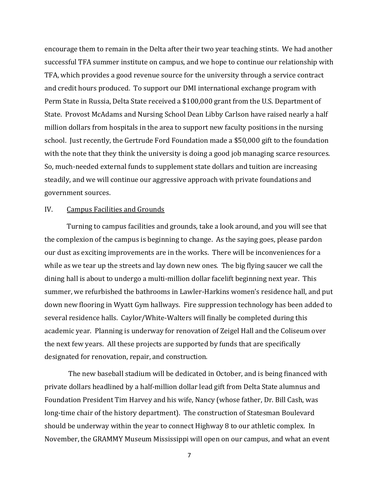encourage them to remain in the Delta after their two year teaching stints. We had another successful TFA summer institute on campus, and we hope to continue our relationship with TFA, which provides a good revenue source for the university through a service contract and credit hours produced. To support our DMI international exchange program with Perm State in Russia, Delta State received a \$100,000 grant from the U.S. Department of State. Provost McAdams and Nursing School Dean Libby Carlson have raised nearly a half million dollars from hospitals in the area to support new faculty positions in the nursing school. Just recently, the Gertrude Ford Foundation made a \$50,000 gift to the foundation with the note that they think the university is doing a good job managing scarce resources. So, much-needed external funds to supplement state dollars and tuition are increasing steadily, and we will continue our aggressive approach with private foundations and government sources.

#### IV. Campus Facilities and Grounds

Turning to campus facilities and grounds, take a look around, and you will see that the complexion of the campus is beginning to change. As the saying goes, please pardon our dust as exciting improvements are in the works. There will be inconveniences for a while as we tear up the streets and lay down new ones. The big flying saucer we call the dining hall is about to undergo a multi-million dollar facelift beginning next year. This summer, we refurbished the bathrooms in Lawler-Harkins women's residence hall, and put down new flooring in Wyatt Gym hallways. Fire suppression technology has been added to several residence halls. Caylor/White-Walters will finally be completed during this academic year. Planning is underway for renovation of Zeigel Hall and the Coliseum over the next few years. All these projects are supported by funds that are specifically designated for renovation, repair, and construction.

The new baseball stadium will be dedicated in October, and is being financed with private dollars headlined by a half-million dollar lead gift from Delta State alumnus and Foundation President Tim Harvey and his wife, Nancy (whose father, Dr. Bill Cash, was long-time chair of the history department). The construction of Statesman Boulevard should be underway within the year to connect Highway 8 to our athletic complex. In November, the GRAMMY Museum Mississippi will open on our campus, and what an event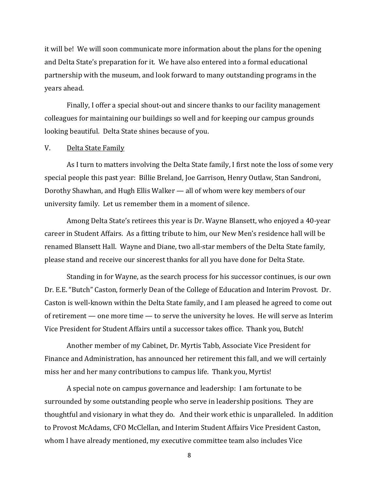it will be! We will soon communicate more information about the plans for the opening and Delta State's preparation for it. We have also entered into a formal educational partnership with the museum, and look forward to many outstanding programs in the years ahead.

Finally, I offer a special shout-out and sincere thanks to our facility management colleagues for maintaining our buildings so well and for keeping our campus grounds looking beautiful. Delta State shines because of you.

#### V. Delta State Family

As I turn to matters involving the Delta State family, I first note the loss of some very special people this past year: Billie Breland, Joe Garrison, Henry Outlaw, Stan Sandroni, Dorothy Shawhan, and Hugh Ellis Walker — all of whom were key members of our university family. Let us remember them in a moment of silence.

Among Delta State's retirees this year is Dr. Wayne Blansett, who enjoyed a 40-year career in Student Affairs. As a fitting tribute to him, our New Men's residence hall will be renamed Blansett Hall. Wayne and Diane, two all-star members of the Delta State family, please stand and receive our sincerest thanks for all you have done for Delta State.

Standing in for Wayne, as the search process for his successor continues, is our own Dr. E.E. "Butch" Caston, formerly Dean of the College of Education and Interim Provost. Dr. Caston is well-known within the Delta State family, and I am pleased he agreed to come out of retirement — one more time — to serve the university he loves. He will serve as Interim Vice President for Student Affairs until a successor takes office. Thank you, Butch!

Another member of my Cabinet, Dr. Myrtis Tabb, Associate Vice President for Finance and Administration, has announced her retirement this fall, and we will certainly miss her and her many contributions to campus life. Thank you, Myrtis!

A special note on campus governance and leadership: I am fortunate to be surrounded by some outstanding people who serve in leadership positions. They are thoughtful and visionary in what they do. And their work ethic is unparalleled. In addition to Provost McAdams, CFO McClellan, and Interim Student Affairs Vice President Caston, whom I have already mentioned, my executive committee team also includes Vice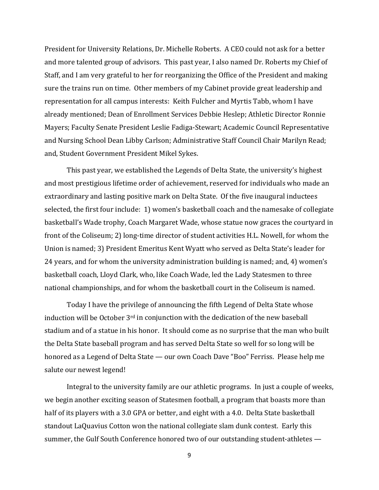President for University Relations, Dr. Michelle Roberts. A CEO could not ask for a better and more talented group of advisors. This past year, I also named Dr. Roberts my Chief of Staff, and I am very grateful to her for reorganizing the Office of the President and making sure the trains run on time. Other members of my Cabinet provide great leadership and representation for all campus interests: Keith Fulcher and Myrtis Tabb, whom I have already mentioned; Dean of Enrollment Services Debbie Heslep; Athletic Director Ronnie Mayers; Faculty Senate President Leslie Fadiga-Stewart; Academic Council Representative and Nursing School Dean Libby Carlson; Administrative Staff Council Chair Marilyn Read; and, Student Government President Mikel Sykes.

This past year, we established the Legends of Delta State, the university's highest and most prestigious lifetime order of achievement, reserved for individuals who made an extraordinary and lasting positive mark on Delta State. Of the five inaugural inductees selected, the first four include: 1) women's basketball coach and the namesake of collegiate basketball's Wade trophy, Coach Margaret Wade, whose statue now graces the courtyard in front of the Coliseum; 2) long-time director of student activities H.L. Nowell, for whom the Union is named; 3) President Emeritus Kent Wyatt who served as Delta State's leader for 24 years, and for whom the university administration building is named; and, 4) women's basketball coach, Lloyd Clark, who, like Coach Wade, led the Lady Statesmen to three national championships, and for whom the basketball court in the Coliseum is named.

Today I have the privilege of announcing the fifth Legend of Delta State whose induction will be October  $3^{rd}$  in conjunction with the dedication of the new baseball stadium and of a statue in his honor. It should come as no surprise that the man who built the Delta State baseball program and has served Delta State so well for so long will be honored as a Legend of Delta State — our own Coach Dave "Boo" Ferriss. Please help me salute our newest legend!

Integral to the university family are our athletic programs. In just a couple of weeks, we begin another exciting season of Statesmen football, a program that boasts more than half of its players with a 3.0 GPA or better, and eight with a 4.0. Delta State basketball standout LaQuavius Cotton won the national collegiate slam dunk contest. Early this summer, the Gulf South Conference honored two of our outstanding student-athletes —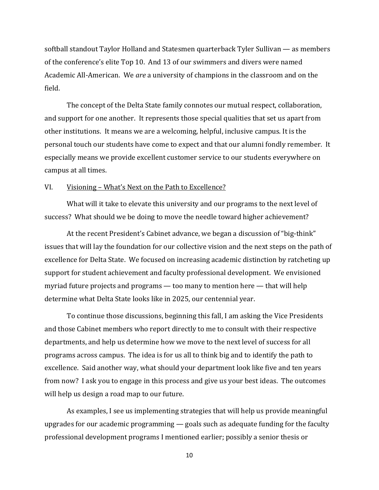softball standout Taylor Holland and Statesmen quarterback Tyler Sullivan  $-$  as members of the conference's elite Top 10. And 13 of our swimmers and divers were named Academic All-American. We *are* a university of champions in the classroom and on the field. 

The concept of the Delta State family connotes our mutual respect, collaboration, and support for one another. It represents those special qualities that set us apart from other institutions. It means we are a welcoming, helpful, inclusive campus. It is the personal touch our students have come to expect and that our alumni fondly remember. It especially means we provide excellent customer service to our students everywhere on campus at all times.

#### VI. Visioning – What's Next on the Path to Excellence?

What will it take to elevate this university and our programs to the next level of success? What should we be doing to move the needle toward higher achievement?

At the recent President's Cabinet advance, we began a discussion of "big-think" issues that will lay the foundation for our collective vision and the next steps on the path of excellence for Delta State. We focused on increasing academic distinction by ratcheting up support for student achievement and faculty professional development. We envisioned myriad future projects and programs — too many to mention here — that will help determine what Delta State looks like in 2025, our centennial year.

To continue those discussions, beginning this fall, I am asking the Vice Presidents and those Cabinet members who report directly to me to consult with their respective departments, and help us determine how we move to the next level of success for all programs across campus. The idea is for us all to think big and to identify the path to excellence. Said another way, what should your department look like five and ten years from now? I ask you to engage in this process and give us your best ideas. The outcomes will help us design a road map to our future.

As examples, I see us implementing strategies that will help us provide meaningful upgrades for our academic programming  $-$  goals such as adequate funding for the faculty professional development programs I mentioned earlier; possibly a senior thesis or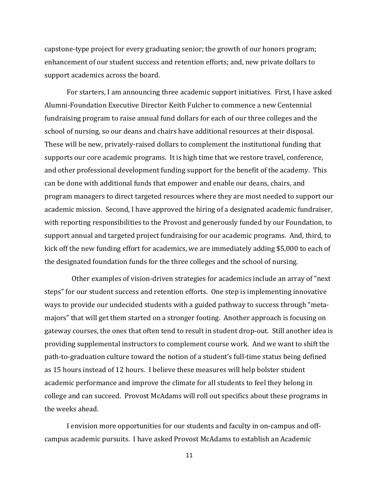capstone-type project for every graduating senior; the growth of our honors program; enhancement of our student success and retention efforts; and, new private dollars to support academics across the board.

For starters, I am announcing three academic support initiatives. First, I have asked Alumni-Foundation Executive Director Keith Fulcher to commence a new Centennial fundraising program to raise annual fund dollars for each of our three colleges and the school of nursing, so our deans and chairs have additional resources at their disposal. These will be new, privately-raised dollars to complement the institutional funding that supports our core academic programs. It is high time that we restore travel, conference, and other professional development funding support for the benefit of the academy. This can be done with additional funds that empower and enable our deans, chairs, and program managers to direct targeted resources where they are most needed to support our academic mission. Second, I have approved the hiring of a designated academic fundraiser, with reporting responsibilities to the Provost and generously funded by our Foundation, to support annual and targeted project fundraising for our academic programs. And, third, to kick off the new funding effort for academics, we are immediately adding \$5,000 to each of the designated foundation funds for the three colleges and the school of nursing.

Other examples of vision-driven strategies for academics include an array of "next steps" for our student success and retention efforts. One step is implementing innovative ways to provide our undecided students with a guided pathway to success through "metamajors" that will get them started on a stronger footing. Another approach is focusing on gateway courses, the ones that often tend to result in student drop-out. Still another idea is providing supplemental instructors to complement course work. And we want to shift the path-to-graduation culture toward the notion of a student's full-time status being defined as 15 hours instead of 12 hours. I believe these measures will help bolster student academic performance and improve the climate for all students to feel they belong in college and can succeed. Provost McAdams will roll out specifics about these programs in the weeks ahead.

I envision more opportunities for our students and faculty in on-campus and offcampus academic pursuits. I have asked Provost McAdams to establish an Academic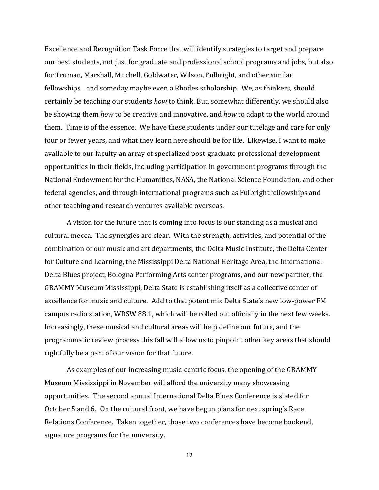Excellence and Recognition Task Force that will identify strategies to target and prepare our best students, not just for graduate and professional school programs and jobs, but also for Truman, Marshall, Mitchell, Goldwater, Wilson, Fulbright, and other similar fellowships...and someday maybe even a Rhodes scholarship. We, as thinkers, should certainly be teaching our students *how* to think. But, somewhat differently, we should also be showing them *how* to be creative and innovative, and *how* to adapt to the world around them. Time is of the essence. We have these students under our tutelage and care for only four or fewer years, and what they learn here should be for life. Likewise, I want to make available to our faculty an array of specialized post-graduate professional development opportunities in their fields, including participation in government programs through the National Endowment for the Humanities, NASA, the National Science Foundation, and other federal agencies, and through international programs such as Fulbright fellowships and other teaching and research ventures available overseas.

A vision for the future that is coming into focus is our standing as a musical and cultural mecca. The synergies are clear. With the strength, activities, and potential of the combination of our music and art departments, the Delta Music Institute, the Delta Center for Culture and Learning, the Mississippi Delta National Heritage Area, the International Delta Blues project, Bologna Performing Arts center programs, and our new partner, the GRAMMY Museum Mississippi, Delta State is establishing itself as a collective center of excellence for music and culture. Add to that potent mix Delta State's new low-power FM campus radio station, WDSW 88.1, which will be rolled out officially in the next few weeks. Increasingly, these musical and cultural areas will help define our future, and the programmatic review process this fall will allow us to pinpoint other key areas that should rightfully be a part of our vision for that future.

As examples of our increasing music-centric focus, the opening of the GRAMMY Museum Mississippi in November will afford the university many showcasing opportunities. The second annual International Delta Blues Conference is slated for October 5 and 6. On the cultural front, we have begun plans for next spring's Race Relations Conference. Taken together, those two conferences have become bookend, signature programs for the university.